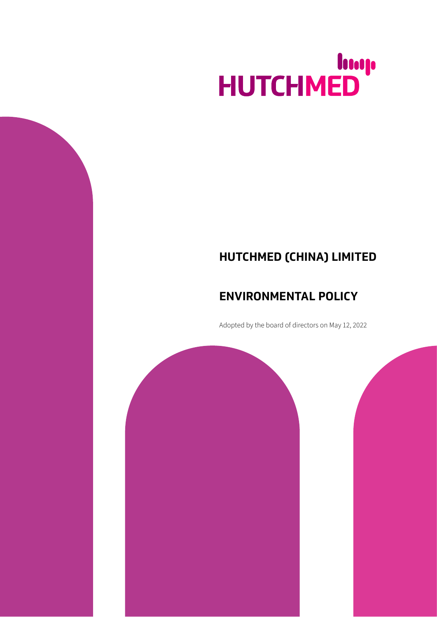# HUTCHMED

# **HUTCHMED (CHINA) LIMITED**

# **ENVIRONMENTAL POLICY**

Adopted by the board of directors on May 12, 2022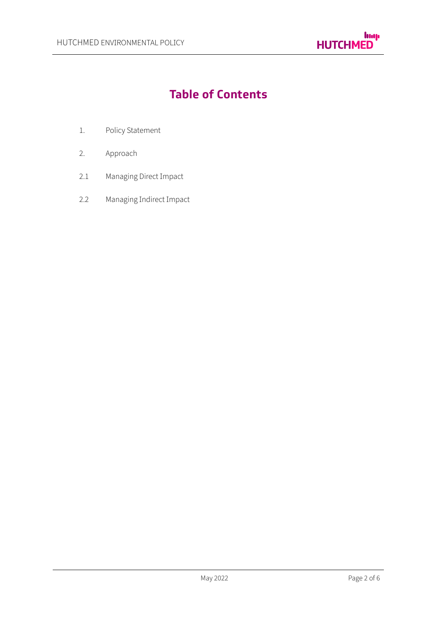

# **Table of Contents**

- 1. Policy Statement
- 2. Approach
- 2.1 Managing Direct Іmpact
- 2.2 Managing Іndirect Іmpact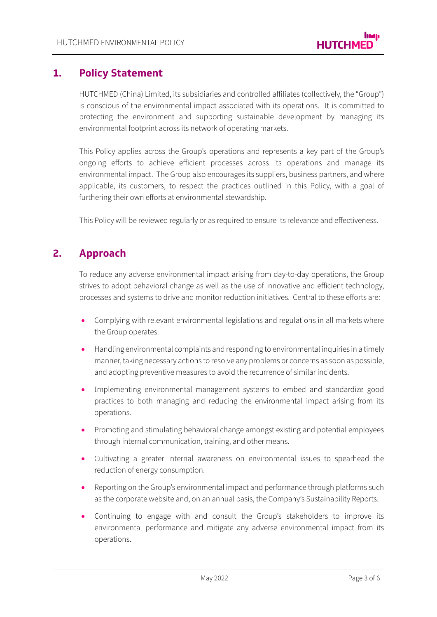## **1. Policy Statement**

HUTCHMED (China) Limited, its subsidiaries and controlled affiliates (collectively, the "Group") is conscious of the environmental impact associated with its operations. Іt is committed to protecting the environment and supporting sustainable development by managing its environmental footprint across its network of operating markets.

This Policy applies across the Group's operations and represents a key part of the Group's ongoing efforts to achieve efficient processes across its operations and manage its environmental impact. The Group also encourages its suppliers, business partners, and where applicable, its customers, to respect the practices outlined in this Policy, with a goal of furthering their own efforts at environmental stewardship.

This Policy will be reviewed regularly or as required to ensure its relevance and effectiveness.

## **2. Approach**

To reduce any adverse environmental impact arising from day-to-day operations, the Group strives to adopt behavioral change as well as the use of innovative and efficient technology, processes and systems to drive and monitor reduction initiatives. Central to these efforts are:

- Complying with relevant environmental legislations and regulations in all markets where the Group operates.
- Handling environmental complaints and responding to environmental inquiries in a timely manner,taking necessary actions to resolve any problems or concerns as soon as possible, and adopting preventive measures to avoid the recurrence of similar incidents.
- Іmplementing environmental management systems to embed and standardize good practices to both managing and reducing the environmental impact arising from its operations.
- Promoting and stimulating behavioral change amongst existing and potential employees through internal communication, training, and other means.
- Cultivating a greater internal awareness on environmental issues to spearhead the reduction of energy consumption.
- Reporting on the Group's environmental impact and performance through platforms such as the corporate website and, on an annual basis, the Company's Sustainability Reports.
- Continuing to engage with and consult the Group's stakeholders to improve its environmental performance and mitigate any adverse environmental impact from its operations.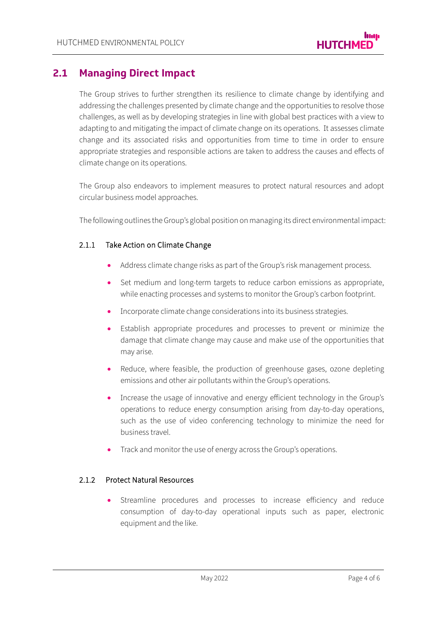## **2.1 Managing Direct Impact**

The Group strives to further strengthen its resilience to climate change by identifying and addressing the challenges presented by climate change and the opportunities to resolve those challenges, as well as by developing strategies in line with global best practices with a view to adapting to and mitigating the impact of climate change on its operations. It assesses climate change and its associated risks and opportunities from time to time in order to ensure appropriate strategies and responsible actions are taken to address the causes and effects of climate change on its operations.

The Group also endeavors to implement measures to protect natural resources and adopt circular business model approaches.

The following outlines the Group's global position on managing its direct environmental impact:

#### 2.1.1 Take Action on Climate Change

- Address climate change risks as part of the Group's risk management process.
- Set medium and long-term targets to reduce carbon emissions as appropriate, while enacting processes and systems to monitor the Group's carbon footprint.
- Іncorporate climate change considerations into its business strategies.
- Establish appropriate procedures and processes to prevent or minimize the damage that climate change may cause and make use of the opportunities that may arise.
- Reduce, where feasible, the production of greenhouse gases, ozone depleting emissions and other air pollutants within the Group's operations.
- Increase the usage of innovative and energy efficient technology in the Group's operations to reduce energy consumption arising from day-to-day operations, such as the use of video conferencing technology to minimize the need for business travel.
- Track and monitor the use of energy across the Group's operations.

#### 2.1.2 Protect Natural Resources

Streamline procedures and processes to increase efficiency and reduce consumption of day-to-day operational inputs such as paper, electronic equipment and the like.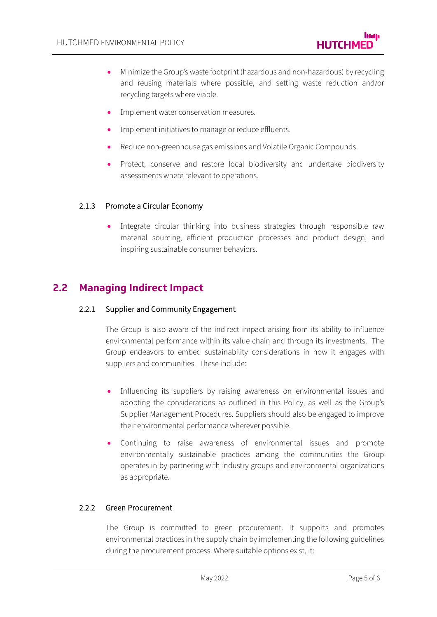- Minimize the Group's waste footprint (hazardous and non-hazardous) by recycling and reusing materials where possible, and setting waste reduction and/or recycling targets where viable.
- Implement water conservation measures.
- Implement initiatives to manage or reduce effluents.
- Reduce non-greenhouse gas emissions and Volatile Organic Compounds.
- Protect, conserve and restore local biodiversity and undertake biodiversity assessments where relevant to operations.

#### 2.1.3 Promote a Circular Economy

Integrate circular thinking into business strategies through responsible raw material sourcing, efficient production processes and product design, and inspiring sustainable consumer behaviors.

## **2.2 Managing Indirect Impact**

#### 2.2.1 Supplier and Community Engagement

The Group is also aware of the indirect impact arising from its ability to influence environmental performance within its value chain and through its investments. The Group endeavors to embed sustainability considerations in how it engages with suppliers and communities. These include:

- Influencing its suppliers by raising awareness on environmental issues and adopting the considerations as outlined in this Policy, as well as the Group's Supplier Management Procedures. Suppliers should also be engaged to improve their environmental performance wherever possible.
- Continuing to raise awareness of environmental issues and promote environmentally sustainable practices among the communities the Group operates in by partnering with industry groups and environmental organizations as appropriate.

#### 2.2.2 Green Procurement

The Group is committed to green procurement. Іt supports and promotes environmental practices in the supply chain by implementing the following guidelines during the procurement process. Where suitable options exist, it: